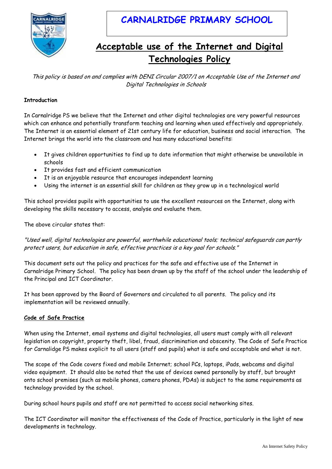

# **CARNALRIDGE PRIMARY SCHOOL**

# **Acceptable use of the Internet and Digital Technologies Policy**

This policy is based on and complies with DENI Circular 2007/1 on Acceptable Use of the Internet and Digital Technologies in Schools

### **Introduction**

In Carnalridge PS we believe that the Internet and other digital technologies are very powerful resources which can enhance and potentially transform teaching and learning when used effectively and appropriately. The Internet is an essential element of 21st century life for education, business and social interaction. The Internet brings the world into the classroom and has many educational benefits:

- It gives children opportunities to find up to date information that might otherwise be unavailable in schools
- It provides fast and efficient communication
- It is an enjoyable resource that encourages independent learning
- Using the internet is an essential skill for children as they grow up in a technological world

This school provides pupils with opportunities to use the excellent resources on the Internet, along with developing the skills necessary to access, analyse and evaluate them.

The above circular states that:

"Used well, digital technologies are powerful, worthwhile educational tools; technical safeguards can partly protect users, but education in safe, effective practices is a key goal for schools."

This document sets out the policy and practices for the safe and effective use of the Internet in Carnalridge Primary School. The policy has been drawn up by the staff of the school under the leadership of the Principal and ICT Coordinator.

It has been approved by the Board of Governors and circulated to all parents. The policy and its implementation will be reviewed annually.

### **Code of Safe Practice**

When using the Internet, email systems and digital technologies, all users must comply with all relevant legislation on copyright, property theft, libel, fraud, discrimination and obscenity. The Code of Safe Practice for Carnalidge PS makes explicit to all users (staff and pupils) what is safe and acceptable and what is not.

The scope of the Code covers fixed and mobile Internet; school PCs, laptops, iPads, webcams and digital video equipment. It should also be noted that the use of devices owned personally by staff, but brought onto school premises (such as mobile phones, camera phones, PDAs) is subject to the same requirements as technology provided by the school.

During school hours pupils and staff are not permitted to access social networking sites.

The ICT Coordinator will monitor the effectiveness of the Code of Practice, particularly in the light of new developments in technology.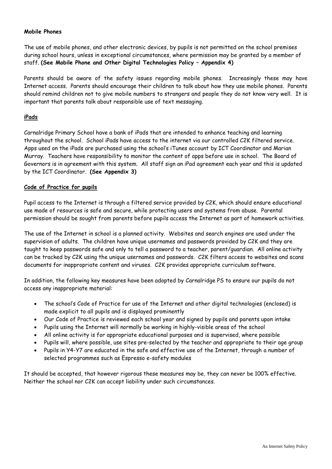#### **Mobile Phones**

The use of mobile phones, and other electronic devices, by pupils is not permitted on the school premises during school hours, unless in exceptional circumstances, where permission may be granted by a member of staff. **(See Mobile Phone and Other Digital Technologies Policy – Appendix 4)**

Parents should be aware of the safety issues regarding mobile phones. Increasingly these may have Internet access. Parents should encourage their children to talk about how they use mobile phones. Parents should remind children not to give mobile numbers to strangers and people they do not know very well. It is important that parents talk about responsible use of text messaging.

### **iPads**

Carnalridge Primary School have a bank of iPads that are intended to enhance teaching and learning throughout the school. School iPads have access to the internet via our controlled C2K filtered service. Apps used on the iPads are purchased using the school's iTunes account by ICT Coordinator and Marian Murray. Teachers have responsibility to monitor the content of apps before use in school. The Board of Governors is in agreement with this system. All staff sign an iPad agreement each year and this is updated by the ICT Coordinator. **(See Appendix 3)**

#### **Code of Practice for pupils**

Pupil access to the Internet is through a filtered service provided by C2K, which should ensure educational use made of resources is safe and secure, while protecting users and systems from abuse. Parental permission should be sought from parents before pupils access the Internet as part of homework activities.

The use of the Internet in school is a planned activity. Websites and search engines are used under the supervision of adults. The children have unique usernames and passwords provided by C2K and they are taught to keep passwords safe and only to tell a password to a teacher, parent/guardian. All online activity can be tracked by C2K using the unique usernames and passwords. C2K filters access to websites and scans documents for inappropriate content and viruses. C2K provides appropriate curriculum software.

In addition, the following key measures have been adopted by Carnalridge PS to ensure our pupils do not access any inappropriate material:

- The school's Code of Practice for use of the Internet and other digital technologies (enclosed) is made explicit to all pupils and is displayed prominently
- Our Code of Practice is reviewed each school year and signed by pupils and parents upon intake
- Pupils using the Internet will normally be working in highly-visible areas of the school
- All online activity is for appropriate educational purposes and is supervised, where possible
- Pupils will, where possible, use sites pre-selected by the teacher and appropriate to their age group
- Pupils in Y4-Y7 are educated in the safe and effective use of the Internet, through a number of selected programmes such as Espresso e-safety modules

It should be accepted, that however rigorous these measures may be, they can never be 100% effective. Neither the school nor C2K can accept liability under such circumstances.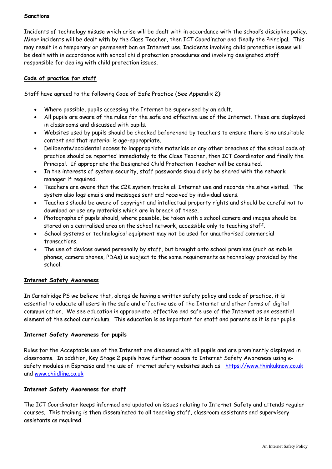#### **Sanctions**

Incidents of technology misuse which arise will be dealt with in accordance with the school's discipline policy. Minor incidents will be dealt with by the Class Teacher, then ICT Coordinator and finally the Principal. This may result in a temporary or permanent ban on Internet use. Incidents involving child protection issues will be dealt with in accordance with school child protection procedures and involving designated staff responsible for dealing with child protection issues.

## **Code of practice for staff**

Staff have agreed to the following Code of Safe Practice (See Appendix 2):

- Where possible, pupils accessing the Internet be supervised by an adult.
- All pupils are aware of the rules for the safe and effective use of the Internet. These are displayed in classrooms and discussed with pupils.
- Websites used by pupils should be checked beforehand by teachers to ensure there is no unsuitable content and that material is age-appropriate.
- Deliberate/accidental access to inappropriate materials or any other breaches of the school code of practice should be reported immediately to the Class Teacher, then ICT Coordinator and finally the Principal. If appropriate the Designated Child Protection Teacher will be consulted.
- In the interests of system security, staff passwords should only be shared with the network manager if required.
- Teachers are aware that the C2K system tracks all Internet use and records the sites visited. The system also logs emails and messages sent and received by individual users.
- Teachers should be aware of copyright and intellectual property rights and should be careful not to download or use any materials which are in breach of these.
- Photographs of pupils should, where possible, be taken with a school camera and images should be stored on a centralised area on the school network, accessible only to teaching staff.
- School systems or technological equipment may not be used for unauthorised commercial transactions.
- The use of devices owned personally by staff, but brought onto school premises (such as mobile phones, camera phones, PDAs) is subject to the same requirements as technology provided by the school.

#### **Internet Safety Awareness**

In Carnalridge PS we believe that, alongside having a written safety policy and code of practice, it is essential to educate all users in the safe and effective use of the Internet and other forms of digital communication. We see education in appropriate, effective and safe use of the Internet as an essential element of the school curriculum. This education is as important for staff and parents as it is for pupils.

#### **Internet Safety Awareness for pupils**

Rules for the Acceptable use of the Internet are discussed with all pupils and are prominently displayed in classrooms. In addition, Key Stage 2 pupils have further access to Internet Safety Awareness using esafety modules in Espresso and the use of internet safety websites such as: [https://www.thinkuknow.co.uk](https://www.thinkuknow.co.uk/) and [www.childline.co.uk](http://www.childline.co.uk/)

#### **Internet Safety Awareness for staff**

The ICT Coordinator keeps informed and updated on issues relating to Internet Safety and attends regular courses. This training is then disseminated to all teaching staff, classroom assistants and supervisory assistants as required.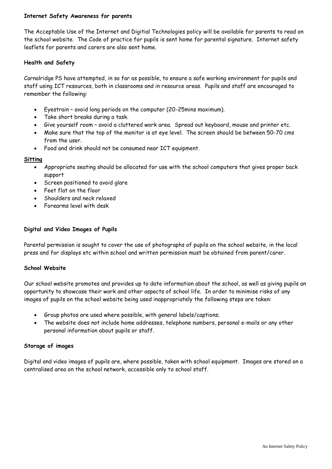#### **Internet Safety Awareness for parents**

The Acceptable Use of the Internet and Digitial Technologies policy will be available for parents to read on the school website. The Code of practice for pupils is sent home for parental signature. Internet safety leaflets for parents and carers are also sent home.

#### **Health and Safety**

Carnalridge PS have attempted, in so far as possible, to ensure a safe working environment for pupils and staff using ICT resources, both in classrooms and in resource areas. Pupils and staff are encouraged to remember the following:

- Eyestrain avoid long periods on the computer (20-25mins maximum).
- Take short breaks during a task.
- Give yourself room avoid a cluttered work area. Spread out keyboard, mouse and printer etc.
- Make sure that the top of the monitor is at eye level. The screen should be between 50-70 cms from the user.
- Food and drink should not be consumed near ICT equipment.

#### **Sitting**

- Appropriate seating should be allocated for use with the school computers that gives proper back support
- Screen positioned to avoid glare
- Feet flat on the floor
- Shoulders and neck relaxed
- Forearms level with desk

#### **Digital and Video Images of Pupils**

Parental permission is sought to cover the use of photographs of pupils on the school website, in the local press and for displays etc within school and written permission must be obtained from parent/carer.

#### **School Website**

Our school website promotes and provides up to date information about the school, as well as giving pupils an opportunity to showcase their work and other aspects of school life. In order to minimise risks of any images of pupils on the school website being used inappropriately the following steps are taken:

- Group photos are used where possible, with general labels/captions;
- The website does not include home addresses, telephone numbers, personal e-mails or any other personal information about pupils or staff.

#### **Storage of images**

Digital and video images of pupils are, where possible, taken with school equipment. Images are stored on a centralised area on the school network, accessible only to school staff.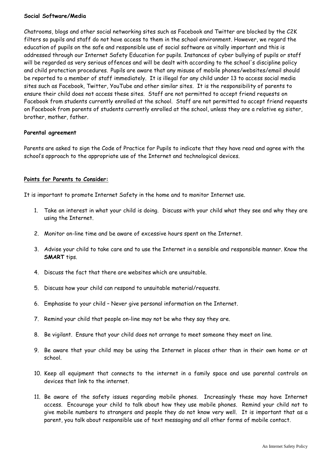#### **Social Software/Media**

Chatrooms, blogs and other social networking sites such as Facebook and Twitter are blocked by the C2K filters so pupils and staff do not have access to them in the school environment. However, we regard the education of pupils on the safe and responsible use of social software as vitally important and this is addressed through our Internet Safety Education for pupils. Instances of cyber bullying of pupils or staff will be regarded as very serious offences and will be dealt with according to the school's discipline policy and child protection procedures. Pupils are aware that any misuse of mobile phones/websites/email should be reported to a member of staff immediately. It is illegal for any child under 13 to access social media sites such as Facebook, Twitter, YouTube and other similar sites. It is the responsibility of parents to ensure their child does not access these sites. Staff are not permitted to accept friend requests on Facebook from students currently enrolled at the school. Staff are not permitted to accept friend requests on Facebook from parents of students currently enrolled at the school, unless they are a relative eg sister, brother, mother, father.

#### **Parental agreement**

Parents are asked to sign the Code of Practice for Pupils to indicate that they have read and agree with the school's approach to the appropriate use of the Internet and technological devices.

#### **Points for Parents to Consider:**

It is important to promote Internet Safety in the home and to monitor Internet use.

- 1. Take an interest in what your child is doing. Discuss with your child what they see and why they are using the Internet.
- 2. Monitor on-line time and be aware of excessive hours spent on the Internet.
- 3. Advise your child to take care and to use the Internet in a sensible and responsible manner. Know the **SMART** tips.
- 4. Discuss the fact that there are websites which are unsuitable.
- 5. Discuss how your child can respond to unsuitable material/requests.
- 6. Emphasise to your child Never give personal information on the Internet.
- 7. Remind your child that people on-line may not be who they say they are.
- 8. Be vigilant. Ensure that your child does not arrange to meet someone they meet on line.
- 9. Be aware that your child may be using the Internet in places other than in their own home or at school.
- 10. Keep all equipment that connects to the internet in a family space and use parental controls on devices that link to the internet.
- 11. Be aware of the safety issues regarding mobile phones. Increasingly these may have Internet access. Encourage your child to talk about how they use mobile phones. Remind your child not to give mobile numbers to strangers and people they do not know very well. It is important that as a parent, you talk about responsible use of text messaging and all other forms of mobile contact.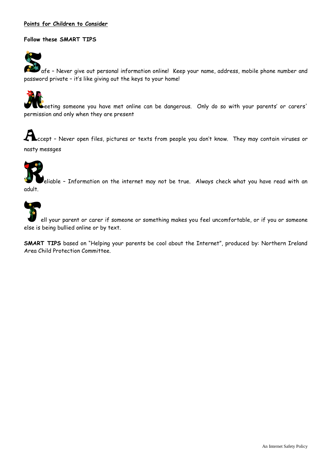#### **Points for Children to Consider**

#### **Follow these SMART TIPS**

afe – Never give out personal information online! Keep your name, address, mobile phone number and password private – it's like giving out the keys to your home!

eeting someone you have met online can be dangerous. Only do so with your parents' or carers' permission and only when they are present

Accept – Never open files, pictures or texts from people you don't know. They may contain viruses or nasty messges

)<br>eliable - Information on the internet may not be true. Always check what you have read with an adult.

ell your parent or carer if someone or something makes you feel uncomfortable, or if you or someone else is being bullied online or by text.

**SMART TIPS** based on "Helping your parents be cool about the Internet", produced by: Northern Ireland Area Child Protection Committee.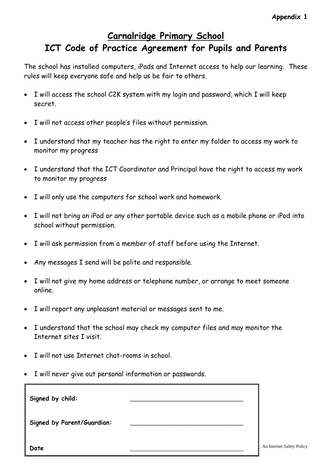# **Carnalridge Primary School ICT Code of Practice Agreement for Pupils and Parents**

The school has installed computers, iPads and Internet access to help our learning. These rules will keep everyone safe and help us be fair to others.

- I will access the school C2K system with my login and password, which I will keep secret.
- I will not access other people's files without permission.
- I understand that my teacher has the right to enter my folder to access my work to monitor my progress
- I understand that the ICT Coordinator and Principal have the right to access my work to monitor my progress
- I will only use the computers for school work and homework.
- I will not bring an iPad or any other portable device such as a mobile phone or iPod into school without permission.
- I will ask permission from a member of staff before using the Internet.
- Any messages I send will be polite and responsible.
- I will not give my home address or telephone number, or arrange to meet someone online.
- I will report any unpleasant material or messages sent to me.
- I understand that the school may check my computer files and may monitor the Internet sites I visit.
- I will not use Internet chat-rooms in school.
- I will never give out personal information or passwords.

| Signed by child:           |  |
|----------------------------|--|
| Signed by Parent/Guardian: |  |
| Date                       |  |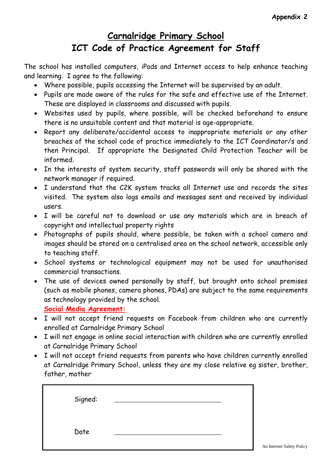# **Carnalridge Primary School ICT Code of Practice Agreement for Staff**

The school has installed computers, iPads and Internet access to help enhance teaching and learning. I agree to the following:

- Where possible, pupils accessing the Internet will be supervised by an adult.
- Pupils are made aware of the rules for the safe and effective use of the Internet. These are displayed in classrooms and discussed with pupils.
- Websites used by pupils, where possible, will be checked beforehand to ensure there is no unsuitable content and that material is age-appropriate.
- Report any deliberate/accidental access to inappropriate materials or any other breaches of the school code of practice immediately to the ICT Coordinator/s and then Principal. If appropriate the Designated Child Protection Teacher will be informed.
- In the interests of system security, staff passwords will only be shared with the network manager if required.
- I understand that the C2K system tracks all Internet use and records the sites visited. The system also logs emails and messages sent and received by individual users.
- I will be careful not to download or use any materials which are in breach of copyright and intellectual property rights
- Photographs of pupils should, where possible, be taken with a school camera and images should be stored on a centralised area on the school network, accessible only to teaching staff.
- School systems or technological equipment may not be used for unauthorised commercial transactions.
- The use of devices owned personally by staff, but brought onto school premises (such as mobile phones, camera phones, PDAs) are subject to the same requirements as technology provided by the school.

**Social Media Agreement:**

- I will not accept friend requests on Facebook from children who are currently enrolled at Carnalridge Primary School
- I will not engage in online social interaction with children who are currently enrolled at Carnalridge Primary School
- I will not accept friend requests from parents who have children currently enrolled at Carnalridge Primary School, unless they are my close relative eg sister, brother, father, mother

| Signed: |  |
|---------|--|
| Date    |  |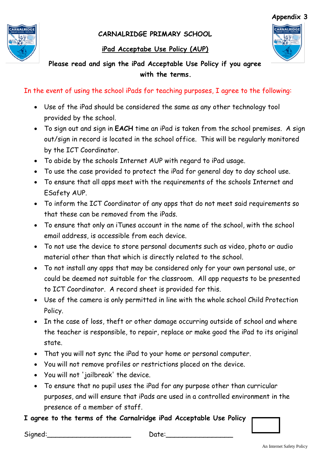**CARNALRIDGE PRIMARY SCHOOL**

## **iPad Acceptabe Use Policy (AUP)**



# **Please read and sign the iPad Acceptable Use Policy if you agree with the terms.**

In the event of using the school iPads for teaching purposes, I agree to the following:

- Use of the iPad should be considered the same as any other technology tool provided by the school.
- To sign out and sign in **EACH** time an iPad is taken from the school premises. A sign out/sign in record is located in the school office. This will be regularly monitored by the ICT Coordinator.
- To abide by the schools Internet AUP with regard to iPad usage.
- To use the case provided to protect the iPad for general day to day school use.
- To ensure that all apps meet with the requirements of the schools Internet and ESafety AUP.
- To inform the ICT Coordinator of any apps that do not meet said requirements so that these can be removed from the iPads.
- To ensure that only an iTunes account in the name of the school, with the school email address, is accessible from each device.
- To not use the device to store personal documents such as video, photo or audio material other than that which is directly related to the school.
- To not install any apps that may be considered only for your own personal use, or could be deemed not suitable for the classroom. All app requests to be presented to ICT Coordinator. A record sheet is provided for this.
- Use of the camera is only permitted in line with the whole school Child Protection Policy.
- In the case of loss, theft or other damage occurring outside of school and where the teacher is responsible, to repair, replace or make good the iPad to its original state.
- That you will not sync the iPad to your home or personal computer.
- You will not remove profiles or restrictions placed on the device.
- You will not 'jailbreak' the device.
- To ensure that no pupil uses the iPad for any purpose other than curricular purposes, and will ensure that iPads are used in a controlled environment in the presence of a member of staff.

# **I agree to the terms of the Carnalridge iPad Acceptable Use Policy**



Signed: Signed: Contains the Date: